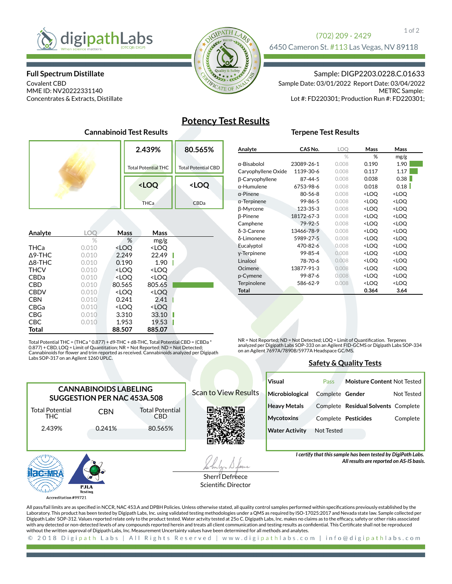

**Full Spectrum Distillate**

Covalent CBD MME ID: NV20222331140 Concentrates & Extracts, Distillate



## 1 of 2 (702) 209 - 2429

6450 Cameron St. #113 Las Vegas, NV 89118

## Sample: DIGP2203.0228.C.01633

METRC Sample: Lot #: FD220301; Production Run #: FD220301; Sample Date: 03/01/2022 Report Date: 03/04/2022

# **Potency Test Results**

## **Terpene Test Results**

| Cannabinoid TC3t RC3uit3 |                                                 |                            |  |  |  |
|--------------------------|-------------------------------------------------|----------------------------|--|--|--|
|                          | 2.439%                                          | 80.565%                    |  |  |  |
|                          | <b>Total Potential THC</b>                      | <b>Total Potential CBD</b> |  |  |  |
|                          | <loq< th=""><th><loq< th=""></loq<></th></loq<> | <loq< th=""></loq<>        |  |  |  |
|                          | <b>THCa</b>                                     | CBDa                       |  |  |  |
|                          |                                                 |                            |  |  |  |

**Cannabinoid Test Results**

| Analyte           | LOC   | Mass                                                     | Mass                         |  |
|-------------------|-------|----------------------------------------------------------|------------------------------|--|
|                   | $\%$  | %                                                        | mg/g                         |  |
| THCa              | 0.010 | <loo< th=""><th><loq< th=""><th></th></loq<></th></loo<> | <loq< th=""><th></th></loq<> |  |
| $\Delta$ 9-THC    | 0.010 | 2.249                                                    | 22.49                        |  |
| $\triangle$ 8-THC | 0.010 | 0.190                                                    | 1.90                         |  |
| <b>THCV</b>       | 0.010 | <loq< th=""><th><loq< th=""><th></th></loq<></th></loq<> | <loq< th=""><th></th></loq<> |  |
| <b>CBDa</b>       | 0.010 | <loq< th=""><th><loq< th=""><th></th></loq<></th></loq<> | <loq< th=""><th></th></loq<> |  |
| <b>CBD</b>        | 0.010 | 80.565                                                   | 805.65                       |  |
| <b>CBDV</b>       | 0.010 | <loo< th=""><th><loq< th=""><th></th></loq<></th></loo<> | <loq< th=""><th></th></loq<> |  |
| <b>CBN</b>        | 0.010 | 0.241                                                    | 2.41                         |  |
| <b>CBGa</b>       | 0.010 | <loq< th=""><th><loq< th=""><th></th></loq<></th></loq<> | <loq< th=""><th></th></loq<> |  |
| CBG               | 0.010 | 3.310                                                    | 33.10                        |  |
| <b>CBC</b>        | 0.010 | 1.953                                                    | 19.53                        |  |
| Total             |       | 88.507                                                   | 885.07                       |  |

Total Potential THC = (THCa \* 0.877) + d9-THC + d8-THC, Total Potential CBD = (CBDa \* 0.877) + CBD, LOQ = Limit of Quantitation; NR = Not Reported; ND = Not Detected;<br>Cannabinoids for flower and trim reported as received. Cannabinoids analyzed per Digipath Labs SOP-317 on an Agilent 1260 UPLC.

| CAS No.       | LOQ   | <b>Mass</b>                                     | Mass                |
|---------------|-------|-------------------------------------------------|---------------------|
|               | $\%$  | %                                               | mg/g                |
| 23089-26-1    | 0.008 | 0.190                                           | 1.90                |
| 1139-30-6     | 0.008 | 0.117                                           | 1.17                |
| 87-44-5       | 0.008 | 0.038                                           | 0.38                |
| 6753-98-6     | 0.008 | 0.018                                           | 0.18                |
| $80 - 56 - 8$ | 0.008 | <loq< td=""><td><loq< td=""></loq<></td></loq<> | <loq< td=""></loq<> |
| 99-86-5       | 0.008 | <loq< td=""><td><loq< td=""></loq<></td></loq<> | <loq< td=""></loq<> |
| 123-35-3      | 0.008 | <loq< td=""><td><loq< td=""></loq<></td></loq<> | <loq< td=""></loq<> |
| 18172-67-3    | 0.008 | <loq< td=""><td><loq< td=""></loq<></td></loq<> | <loq< td=""></loq<> |
| 79-92-5       | 0.008 | <loq< td=""><td><loq< td=""></loq<></td></loq<> | <loq< td=""></loq<> |
| 13466-78-9    | 0.008 | <loq< td=""><td><loq< td=""></loq<></td></loq<> | <loq< td=""></loq<> |
| 5989-27-5     | 0.008 | <loq< td=""><td><loq< td=""></loq<></td></loq<> | <loq< td=""></loq<> |
| 470-82-6      | 0.008 | <loq< td=""><td><loq< td=""></loq<></td></loq<> | <loq< td=""></loq<> |
| 99-85-4       | 0.008 | <loq< td=""><td><loq< td=""></loq<></td></loq<> | <loq< td=""></loq<> |
| 78-70-6       | 0.008 | <loq< td=""><td><loq< td=""></loq<></td></loq<> | <loq< td=""></loq<> |
| 13877-91-3    | 0.008 | <loq< td=""><td><loq< td=""></loq<></td></loq<> | <loq< td=""></loq<> |
| 99-87-6       | 0.008 | <loq< td=""><td><loq< td=""></loq<></td></loq<> | <loq< td=""></loq<> |
| 586-62-9      | 0.008 | <loq< td=""><td><loq< td=""></loq<></td></loq<> | <loq< td=""></loq<> |
|               |       | 0.364                                           | 3.64                |
|               |       |                                                 |                     |

NR = Not Reported; ND = Not Detected; LOQ = Limit of Quantification. Terpenes analyzed per Digipath Labs SOP-333 on an Agilent FID-GCMS or Digipath Labs SOP-334 on an Agilent 7697A/7890B/5977A Headspace GC/MS.

## **Safety & Quality Tests**

| <b>CANNABINOIDS LABELING</b><br>SUGGESTION PER NAC 453A.508 |                 |                                      |  |  |  |  |
|-------------------------------------------------------------|-----------------|--------------------------------------|--|--|--|--|
| <b>Total Potential</b><br>THC.                              | <b>CBN</b>      | <b>Total Potential</b><br><b>CBD</b> |  |  |  |  |
| 2.439%                                                      | 0.241%          | 80.565%                              |  |  |  |  |
|                                                             |                 |                                      |  |  |  |  |
|                                                             | PJLA<br>Testing |                                      |  |  |  |  |

Scan to View Results

**Visual Microbiological Heavy Metals Mycotoxins Water Activity** Pass Complete **Gender** Complete **Residual Solvents** Complete Complete **Pesticides** Not Tested **Moisture Content** Not Tested Not Tested Complete

> *I certify that this sample has been tested by DigiPath Labs. All results are reported on AS-IS basis.*

All pass/fail limits are as specified in NCCR, NAC 453.A and DPBH Policies. Unless otherwise stated, all quality control samples performed within specifications previously established by the Laboratory. This product has been tested by Digipath Labs, Inc. using validated testing methodologies under a QMS as required by ISO-17025:2017 and Nevada state law. Sample collected per Digipath Labs' SOP-312. Values reported relate only to the product tested. Water actvity tested at 25o C. Digipath Labs, Inc. makes no claims as to the efcacy, safety or other risks associated with any detected or non-detected levels of any compounds reported herein and treats all client communication and testing results as condential. This Certicate shall not be reproduced without the written approval of Digipath Labs, Inc. Measurement Uncertainty values have been determined for all methods and analytes.

2018 Digipath Labs | All Rights Reserved | www.digipathlabs.com | info@digipathlabs.com  $\odot$ 

Testing Accreditation #99721

Sherri Defreece Scientific Director